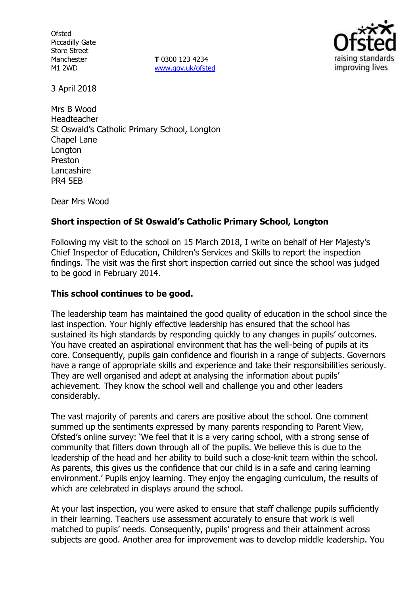**Ofsted** Piccadilly Gate Store Street Manchester M1 2WD

**T** 0300 123 4234 www.gov.uk/ofsted



3 April 2018

Mrs B Wood Headteacher St Oswald's Catholic Primary School, Longton Chapel Lane **Longton** Preston Lancashire PR4 5EB

Dear Mrs Wood

# **Short inspection of St Oswald's Catholic Primary School, Longton**

Following my visit to the school on 15 March 2018, I write on behalf of Her Majesty's Chief Inspector of Education, Children's Services and Skills to report the inspection findings. The visit was the first short inspection carried out since the school was judged to be good in February 2014.

### **This school continues to be good.**

The leadership team has maintained the good quality of education in the school since the last inspection. Your highly effective leadership has ensured that the school has sustained its high standards by responding quickly to any changes in pupils' outcomes. You have created an aspirational environment that has the well-being of pupils at its core. Consequently, pupils gain confidence and flourish in a range of subjects. Governors have a range of appropriate skills and experience and take their responsibilities seriously. They are well organised and adept at analysing the information about pupils' achievement. They know the school well and challenge you and other leaders considerably.

The vast majority of parents and carers are positive about the school. One comment summed up the sentiments expressed by many parents responding to Parent View, Ofsted's online survey: 'We feel that it is a very caring school, with a strong sense of community that filters down through all of the pupils. We believe this is due to the leadership of the head and her ability to build such a close-knit team within the school. As parents, this gives us the confidence that our child is in a safe and caring learning environment.' Pupils enjoy learning. They enjoy the engaging curriculum, the results of which are celebrated in displays around the school.

At your last inspection, you were asked to ensure that staff challenge pupils sufficiently in their learning. Teachers use assessment accurately to ensure that work is well matched to pupils' needs. Consequently, pupils' progress and their attainment across subjects are good. Another area for improvement was to develop middle leadership. You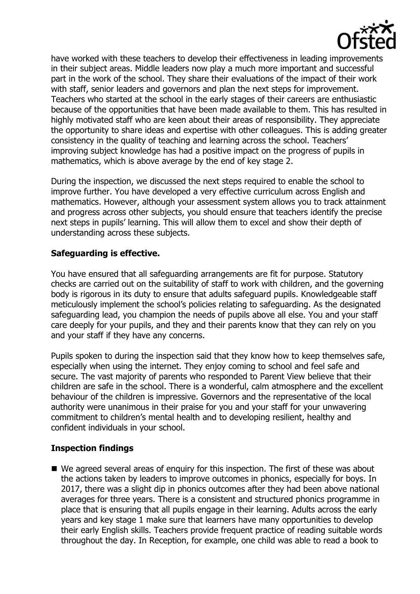

have worked with these teachers to develop their effectiveness in leading improvements in their subject areas. Middle leaders now play a much more important and successful part in the work of the school. They share their evaluations of the impact of their work with staff, senior leaders and governors and plan the next steps for improvement. Teachers who started at the school in the early stages of their careers are enthusiastic because of the opportunities that have been made available to them. This has resulted in highly motivated staff who are keen about their areas of responsibility. They appreciate the opportunity to share ideas and expertise with other colleagues. This is adding greater consistency in the quality of teaching and learning across the school. Teachers' improving subject knowledge has had a positive impact on the progress of pupils in mathematics, which is above average by the end of key stage 2.

During the inspection, we discussed the next steps required to enable the school to improve further. You have developed a very effective curriculum across English and mathematics. However, although your assessment system allows you to track attainment and progress across other subjects, you should ensure that teachers identify the precise next steps in pupils' learning. This will allow them to excel and show their depth of understanding across these subjects.

# **Safeguarding is effective.**

You have ensured that all safeguarding arrangements are fit for purpose. Statutory checks are carried out on the suitability of staff to work with children, and the governing body is rigorous in its duty to ensure that adults safeguard pupils. Knowledgeable staff meticulously implement the school's policies relating to safeguarding. As the designated safeguarding lead, you champion the needs of pupils above all else. You and your staff care deeply for your pupils, and they and their parents know that they can rely on you and your staff if they have any concerns.

Pupils spoken to during the inspection said that they know how to keep themselves safe, especially when using the internet. They enjoy coming to school and feel safe and secure. The vast majority of parents who responded to Parent View believe that their children are safe in the school. There is a wonderful, calm atmosphere and the excellent behaviour of the children is impressive. Governors and the representative of the local authority were unanimous in their praise for you and your staff for your unwavering commitment to children's mental health and to developing resilient, healthy and confident individuals in your school.

### **Inspection findings**

■ We agreed several areas of enguiry for this inspection. The first of these was about the actions taken by leaders to improve outcomes in phonics, especially for boys. In 2017, there was a slight dip in phonics outcomes after they had been above national averages for three years. There is a consistent and structured phonics programme in place that is ensuring that all pupils engage in their learning. Adults across the early years and key stage 1 make sure that learners have many opportunities to develop their early English skills. Teachers provide frequent practice of reading suitable words throughout the day. In Reception, for example, one child was able to read a book to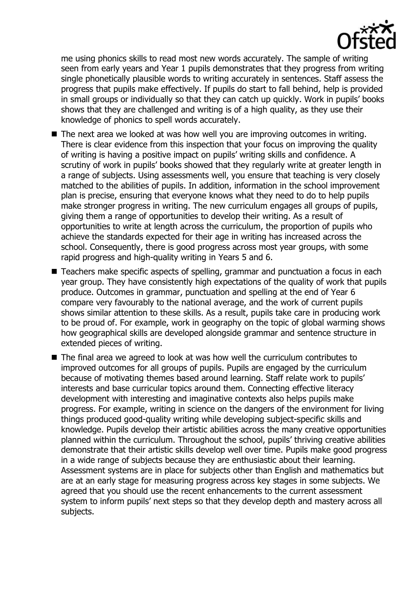

me using phonics skills to read most new words accurately. The sample of writing seen from early years and Year 1 pupils demonstrates that they progress from writing single phonetically plausible words to writing accurately in sentences. Staff assess the progress that pupils make effectively. If pupils do start to fall behind, help is provided in small groups or individually so that they can catch up quickly. Work in pupils' books shows that they are challenged and writing is of a high quality, as they use their knowledge of phonics to spell words accurately.

- The next area we looked at was how well you are improving outcomes in writing. There is clear evidence from this inspection that your focus on improving the quality of writing is having a positive impact on pupils' writing skills and confidence. A scrutiny of work in pupils' books showed that they regularly write at greater length in a range of subjects. Using assessments well, you ensure that teaching is very closely matched to the abilities of pupils. In addition, information in the school improvement plan is precise, ensuring that everyone knows what they need to do to help pupils make stronger progress in writing. The new curriculum engages all groups of pupils, giving them a range of opportunities to develop their writing. As a result of opportunities to write at length across the curriculum, the proportion of pupils who achieve the standards expected for their age in writing has increased across the school. Consequently, there is good progress across most year groups, with some rapid progress and high-quality writing in Years 5 and 6.
- Teachers make specific aspects of spelling, grammar and punctuation a focus in each year group. They have consistently high expectations of the quality of work that pupils produce. Outcomes in grammar, punctuation and spelling at the end of Year 6 compare very favourably to the national average, and the work of current pupils shows similar attention to these skills. As a result, pupils take care in producing work to be proud of. For example, work in geography on the topic of global warming shows how geographical skills are developed alongside grammar and sentence structure in extended pieces of writing.
- The final area we agreed to look at was how well the curriculum contributes to improved outcomes for all groups of pupils. Pupils are engaged by the curriculum because of motivating themes based around learning. Staff relate work to pupils' interests and base curricular topics around them. Connecting effective literacy development with interesting and imaginative contexts also helps pupils make progress. For example, writing in science on the dangers of the environment for living things produced good-quality writing while developing subject-specific skills and knowledge. Pupils develop their artistic abilities across the many creative opportunities planned within the curriculum. Throughout the school, pupils' thriving creative abilities demonstrate that their artistic skills develop well over time. Pupils make good progress in a wide range of subjects because they are enthusiastic about their learning. Assessment systems are in place for subjects other than English and mathematics but are at an early stage for measuring progress across key stages in some subjects. We agreed that you should use the recent enhancements to the current assessment system to inform pupils' next steps so that they develop depth and mastery across all subjects.